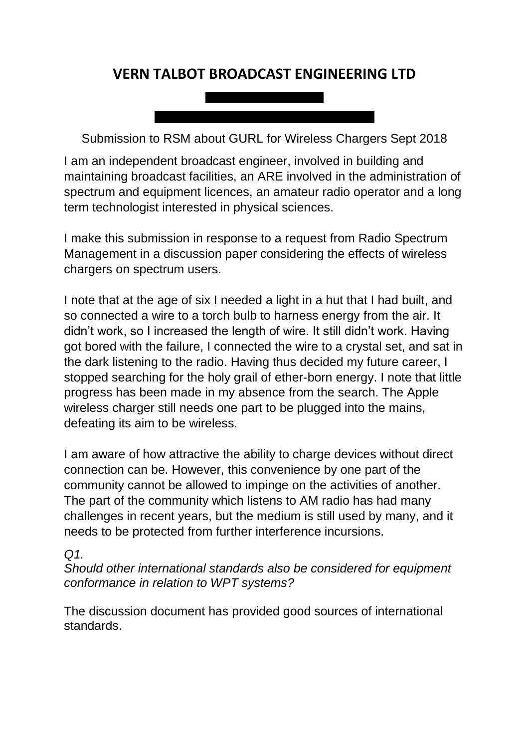# **VERN TALBOT BROADCAST ENGINEERING LTD**

<u> La Carlo de Carlo de Carlo de la Carlo de </u>

Submission to RSM about GURL for Wireless Chargers Sept 2018

I am an independent broadcast engineer, involved in building and maintaining broadcast facilities, an ARE involved in the administration of spectrum and equipment licences, an amateur radio operator and a long term technologist interested in physical sciences.

I make this submission in response to a request from Radio Spectrum Management in a discussion paper considering the effects of wireless chargers on spectrum users.

I note that at the age of six I needed a light in a hut that I had built, and so connected a wire to a torch bulb to harness energy from the air. It didn't work, so I increased the length of wire. It still didn't work. Having got bored with the failure, I connected the wire to a crystal set, and sat in the dark listening to the radio. Having thus decided my future career, I stopped searching for the holy grail of ether-born energy. I note that little progress has been made in my absence from the search. The Apple wireless charger still needs one part to be plugged into the mains, defeating its aim to be wireless.

I am aware of how attractive the ability to charge devices without direct connection can be. However, this convenience by one part of the community cannot be allowed to impinge on the activities of another. The part of the community which listens to AM radio has had many challenges in recent years, but the medium is still used by many, and it needs to be protected from further interference incursions.

#### *Q1.*

*Should other international standards also be considered for equipment conformance in relation to WPT systems?* 

The discussion document has provided good sources of international standards.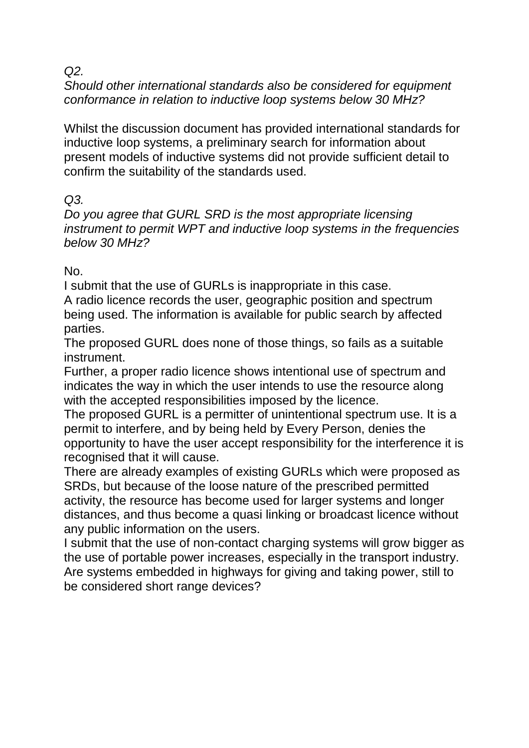*Q2.*

*Should other international standards also be considered for equipment conformance in relation to inductive loop systems below 30 MHz?* 

Whilst the discussion document has provided international standards for inductive loop systems, a preliminary search for information about present models of inductive systems did not provide sufficient detail to confirm the suitability of the standards used.

# *Q3.*

*Do you agree that GURL SRD is the most appropriate licensing instrument to permit WPT and inductive loop systems in the frequencies below 30 MHz?* 

No.

I submit that the use of GURLs is inappropriate in this case.

A radio licence records the user, geographic position and spectrum being used. The information is available for public search by affected parties.

The proposed GURL does none of those things, so fails as a suitable instrument.

Further, a proper radio licence shows intentional use of spectrum and indicates the way in which the user intends to use the resource along with the accepted responsibilities imposed by the licence.

The proposed GURL is a permitter of unintentional spectrum use. It is a permit to interfere, and by being held by Every Person, denies the opportunity to have the user accept responsibility for the interference it is recognised that it will cause.

There are already examples of existing GURLs which were proposed as SRDs, but because of the loose nature of the prescribed permitted activity, the resource has become used for larger systems and longer distances, and thus become a quasi linking or broadcast licence without any public information on the users.

I submit that the use of non-contact charging systems will grow bigger as the use of portable power increases, especially in the transport industry. Are systems embedded in highways for giving and taking power, still to be considered short range devices?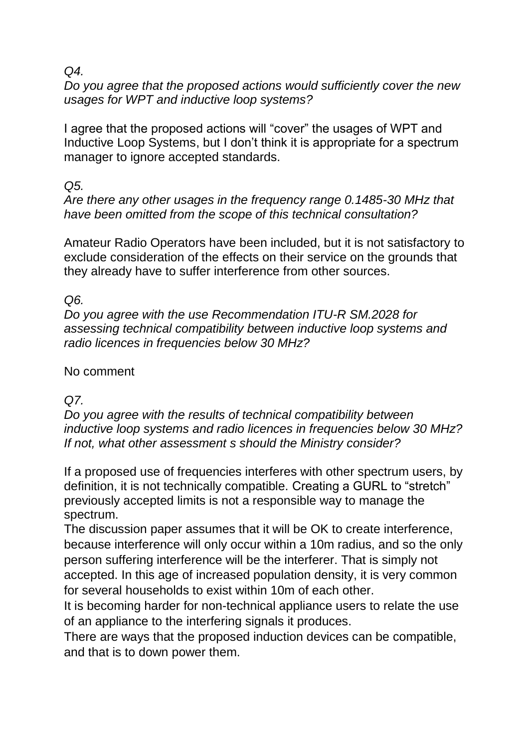### *Q4.*

*Do you agree that the proposed actions would sufficiently cover the new usages for WPT and inductive loop systems?*

I agree that the proposed actions will "cover" the usages of WPT and Inductive Loop Systems, but I don't think it is appropriate for a spectrum manager to ignore accepted standards.

*Q5.*

*Are there any other usages in the frequency range 0.1485-30 MHz that have been omitted from the scope of this technical consultation?* 

Amateur Radio Operators have been included, but it is not satisfactory to exclude consideration of the effects on their service on the grounds that they already have to suffer interference from other sources.

# *Q6.*

*Do you agree with the use Recommendation ITU-R SM.2028 for assessing technical compatibility between inductive loop systems and radio licences in frequencies below 30 MHz?* 

# No comment

# *Q7.*

*Do you agree with the results of technical compatibility between inductive loop systems and radio licences in frequencies below 30 MHz? If not, what other assessment s should the Ministry consider?* 

If a proposed use of frequencies interferes with other spectrum users, by definition, it is not technically compatible. Creating a GURL to "stretch" previously accepted limits is not a responsible way to manage the spectrum.

The discussion paper assumes that it will be OK to create interference, because interference will only occur within a 10m radius, and so the only person suffering interference will be the interferer. That is simply not accepted. In this age of increased population density, it is very common for several households to exist within 10m of each other.

It is becoming harder for non-technical appliance users to relate the use of an appliance to the interfering signals it produces.

There are ways that the proposed induction devices can be compatible, and that is to down power them.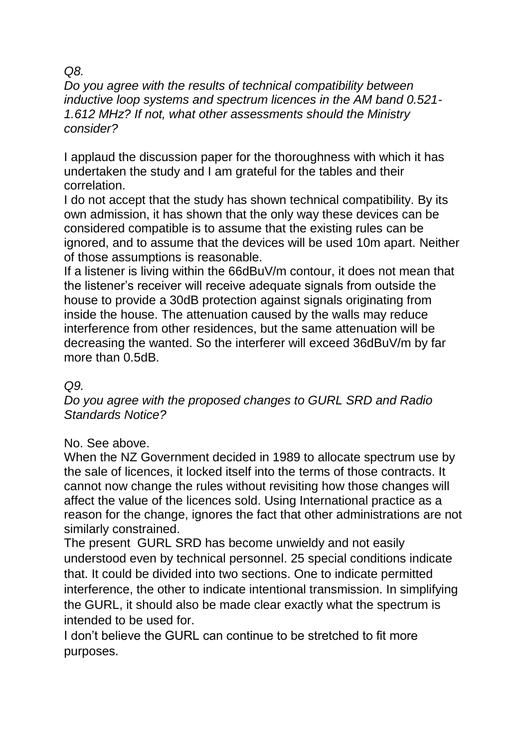### *Q8.*

*Do you agree with the results of technical compatibility between inductive loop systems and spectrum licences in the AM band 0.521- 1.612 MHz? If not, what other assessments should the Ministry consider?* 

I applaud the discussion paper for the thoroughness with which it has undertaken the study and I am grateful for the tables and their correlation.

I do not accept that the study has shown technical compatibility. By its own admission, it has shown that the only way these devices can be considered compatible is to assume that the existing rules can be ignored, and to assume that the devices will be used 10m apart. Neither of those assumptions is reasonable.

If a listener is living within the 66dBuV/m contour, it does not mean that the listener's receiver will receive adequate signals from outside the house to provide a 30dB protection against signals originating from inside the house. The attenuation caused by the walls may reduce interference from other residences, but the same attenuation will be decreasing the wanted. So the interferer will exceed 36dBuV/m by far more than 0.5dB.

# *Q9.*

*Do you agree with the proposed changes to GURL SRD and Radio Standards Notice?*

# No. See above.

When the NZ Government decided in 1989 to allocate spectrum use by the sale of licences, it locked itself into the terms of those contracts. It cannot now change the rules without revisiting how those changes will affect the value of the licences sold. Using International practice as a reason for the change, ignores the fact that other administrations are not similarly constrained.

The present GURL SRD has become unwieldy and not easily understood even by technical personnel. 25 special conditions indicate that. It could be divided into two sections. One to indicate permitted interference, the other to indicate intentional transmission. In simplifying the GURL, it should also be made clear exactly what the spectrum is intended to be used for.

I don't believe the GURL can continue to be stretched to fit more purposes.